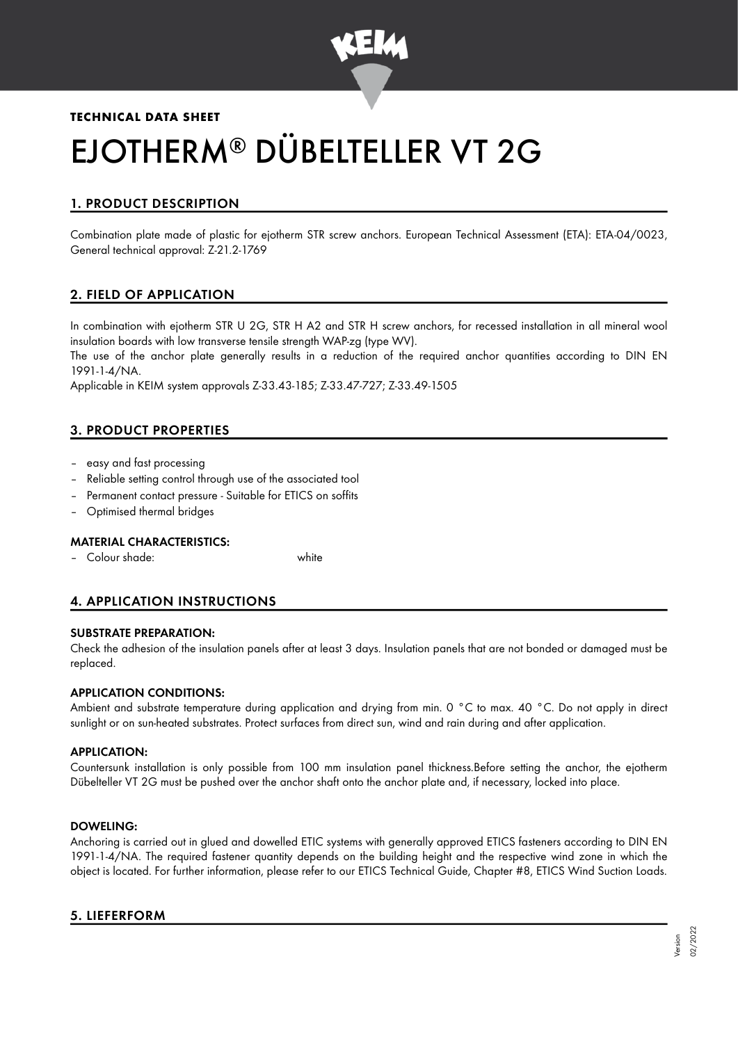

# **TECHNICAL DATA SHEET** EJOTHERM® DÜBELTELLER VT 2G

# 1. PRODUCT DESCRIPTION

Combination plate made of plastic for ejotherm STR screw anchors. European Technical Assessment (ETA): ETA-04/0023, General technical approval: Z-21.2-1769

# 2. FIELD OF APPLICATION

In combination with ejotherm STR U 2G, STR H A2 and STR H screw anchors, for recessed installation in all mineral wool insulation boards with low transverse tensile strength WAP-zg (type WV).

The use of the anchor plate generally results in a reduction of the required anchor quantities according to DIN EN 1991-1-4/NA.

Applicable in KEIM system approvals Z-33.43-185; Z-33.47-727; Z-33.49-1505

# 3. PRODUCT PROPERTIES

- easy and fast processing
- Reliable setting control through use of the associated tool
- Permanent contact pressure Suitable for ETICS on soffits
- Optimised thermal bridges

#### MATERIAL CHARACTERISTICS:

– Colour shade: white

# 4. APPLICATION INSTRUCTIONS

#### SUBSTRATE PREPARATION:

Check the adhesion of the insulation panels after at least 3 days. Insulation panels that are not bonded or damaged must be replaced.

## APPLICATION CONDITIONS:

Ambient and substrate temperature during application and drying from min. 0 °C to max. 40 °C. Do not apply in direct sunlight or on sun-heated substrates. Protect surfaces from direct sun, wind and rain during and after application.

#### APPLICATION:

Countersunk installation is only possible from 100 mm insulation panel thickness.Before setting the anchor, the ejotherm Dübelteller VT 2G must be pushed over the anchor shaft onto the anchor plate and, if necessary, locked into place.

#### DOWELING:

Anchoring is carried out in glued and dowelled ETIC systems with generally approved ETICS fasteners according to DIN EN 1991-1-4/NA. The required fastener quantity depends on the building height and the respective wind zone in which the object is located. For further information, please refer to our ETICS Technical Guide, Chapter #8, ETICS Wind Suction Loads.

## 5. LIEFERFORM